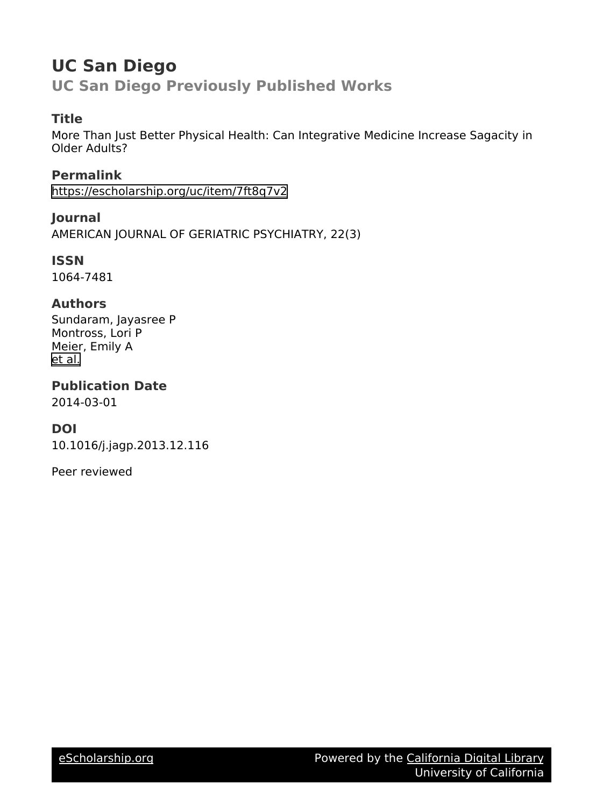# **UC San Diego**

**UC San Diego Previously Published Works**

### **Title**

More Than Just Better Physical Health: Can Integrative Medicine Increase Sagacity in Older Adults?

**Permalink** <https://escholarship.org/uc/item/7ft8q7v2>

**Journal** AMERICAN JOURNAL OF GERIATRIC PSYCHIATRY, 22(3)

**ISSN** 1064-7481

#### **Authors**

Sundaram, Jayasree P Montross, Lori P Meier, Emily A [et al.](https://escholarship.org/uc/item/7ft8q7v2#author)

## **Publication Date**

2014-03-01

#### **DOI**

10.1016/j.jagp.2013.12.116

Peer reviewed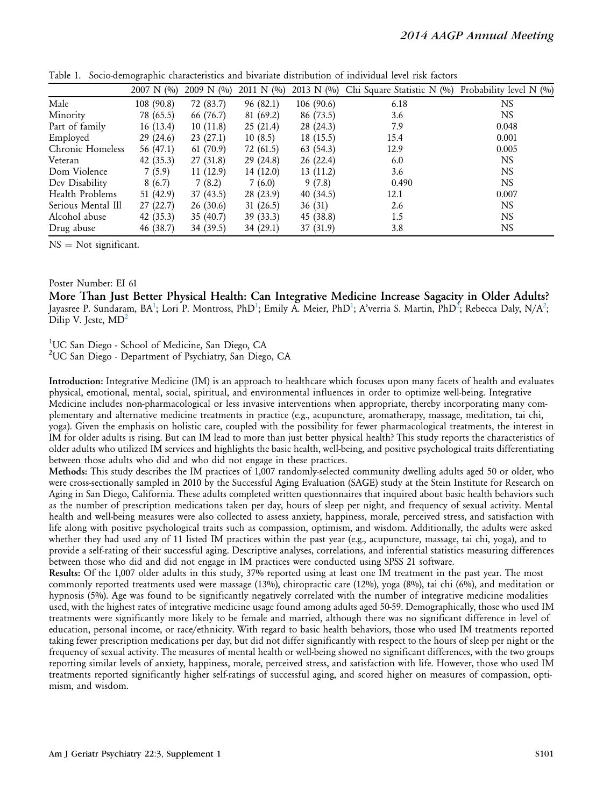|                    | $2007 \text{ N}$ (%) | 2009 N $(%)$ | 2011 N $(%)$ | 2013 N $(\%)$ | Chi Square Statistic N (%) | Probability level N (%) |
|--------------------|----------------------|--------------|--------------|---------------|----------------------------|-------------------------|
| Male               | 108 (90.8)           | 72 (83.7)    | 96 (82.1)    | 106 (90.6)    | 6.18                       | NS                      |
| Minority           | 78 (65.5)            | 66 (76.7)    | 81 (69.2)    | 86 (73.5)     | 3.6                        | <b>NS</b>               |
| Part of family     | 16(13.4)             | 10(11.8)     | 25(21.4)     | 28 (24.3)     | 7.9                        | 0.048                   |
| Employed           | 29(24.6)             | 23(27.1)     | 10(8.5)      | 18(15.5)      | 15.4                       | 0.001                   |
| Chronic Homeless   | 56 (47.1)            | 61(70.9)     | 72 (61.5)    | 63 (54.3)     | 12.9                       | 0.005                   |
| Veteran            | 42(35.3)             | 27(31.8)     | 29(24.8)     | 26(22.4)      | 6.0                        | <b>NS</b>               |
| Dom Violence       | 7(5.9)               | 11(12.9)     | 14(12.0)     | 13(11.2)      | 3.6                        | <b>NS</b>               |
| Dev Disability     | 8(6.7)               | 7(8.2)       | 7(6.0)       | 9(7.8)        | 0.490                      | <b>NS</b>               |
| Health Problems    | 51 (42.9)            | 37(43.5)     | 28 (23.9)    | 40(34.5)      | 12.1                       | 0.007                   |
| Serious Mental Ill | 27(22.7)             | 26(30.6)     | 31(26.5)     | 36(31)        | 2.6                        | <b>NS</b>               |
| Alcohol abuse      | 42(35.3)             | 35(40.7)     | 39(33.3)     | 45 (38.8)     | 1.5                        | <b>NS</b>               |
| Drug abuse         | 46 (38.7)            | 34 (39.5)    | 34 (29.1)    | 37 (31.9)     | 3.8                        | <b>NS</b>               |

Table 1. Socio-demographic characteristics and bivariate distribution of individual level risk factors

 $NS = Not$  significant.

#### Poster Number: EI 61

More Than Just Better Physical Health: Can Integrative Medicine Increase Sagacity in Older Adults? Jayasree P. Sundaram, BA<sup>1</sup>; Lori P. Montross, PhD<sup>1</sup>; Emily A. Meier, PhD<sup>1</sup>; A'verria S. Martin, PhD<sup>2</sup>; Rebecca Daly, N/A<sup>2</sup>; Dilip V. Jeste, MD<sup>2</sup>

<sup>1</sup>UC San Diego - School of Medicine, San Diego, CA

2 UC San Diego - Department of Psychiatry, San Diego, CA

Introduction: Integrative Medicine (IM) is an approach to healthcare which focuses upon many facets of health and evaluates physical, emotional, mental, social, spiritual, and environmental influences in order to optimize well-being. Integrative Medicine includes non-pharmacological or less invasive interventions when appropriate, thereby incorporating many complementary and alternative medicine treatments in practice (e.g., acupuncture, aromatherapy, massage, meditation, tai chi, yoga). Given the emphasis on holistic care, coupled with the possibility for fewer pharmacological treatments, the interest in IM for older adults is rising. But can IM lead to more than just better physical health? This study reports the characteristics of older adults who utilized IM services and highlights the basic health, well-being, and positive psychological traits differentiating between those adults who did and who did not engage in these practices.

Methods: This study describes the IM practices of 1,007 randomly-selected community dwelling adults aged 50 or older, who were cross-sectionally sampled in 2010 by the Successful Aging Evaluation (SAGE) study at the Stein Institute for Research on Aging in San Diego, California. These adults completed written questionnaires that inquired about basic health behaviors such as the number of prescription medications taken per day, hours of sleep per night, and frequency of sexual activity. Mental health and well-being measures were also collected to assess anxiety, happiness, morale, perceived stress, and satisfaction with life along with positive psychological traits such as compassion, optimism, and wisdom. Additionally, the adults were asked whether they had used any of 11 listed IM practices within the past year (e.g., acupuncture, massage, tai chi, yoga), and to provide a self-rating of their successful aging. Descriptive analyses, correlations, and inferential statistics measuring differences between those who did and did not engage in IM practices were conducted using SPSS 21 software.

Results: Of the 1,007 older adults in this study, 37% reported using at least one IM treatment in the past year. The most commonly reported treatments used were massage (13%), chiropractic care (12%), yoga (8%), tai chi (6%), and meditation or hypnosis (5%). Age was found to be significantly negatively correlated with the number of integrative medicine modalities used, with the highest rates of integrative medicine usage found among adults aged 50-59. Demographically, those who used IM treatments were significantly more likely to be female and married, although there was no significant difference in level of education, personal income, or race/ethnicity. With regard to basic health behaviors, those who used IM treatments reported taking fewer prescription medications per day, but did not differ significantly with respect to the hours of sleep per night or the frequency of sexual activity. The measures of mental health or well-being showed no significant differences, with the two groups reporting similar levels of anxiety, happiness, morale, perceived stress, and satisfaction with life. However, those who used IM treatments reported significantly higher self-ratings of successful aging, and scored higher on measures of compassion, optimism, and wisdom.